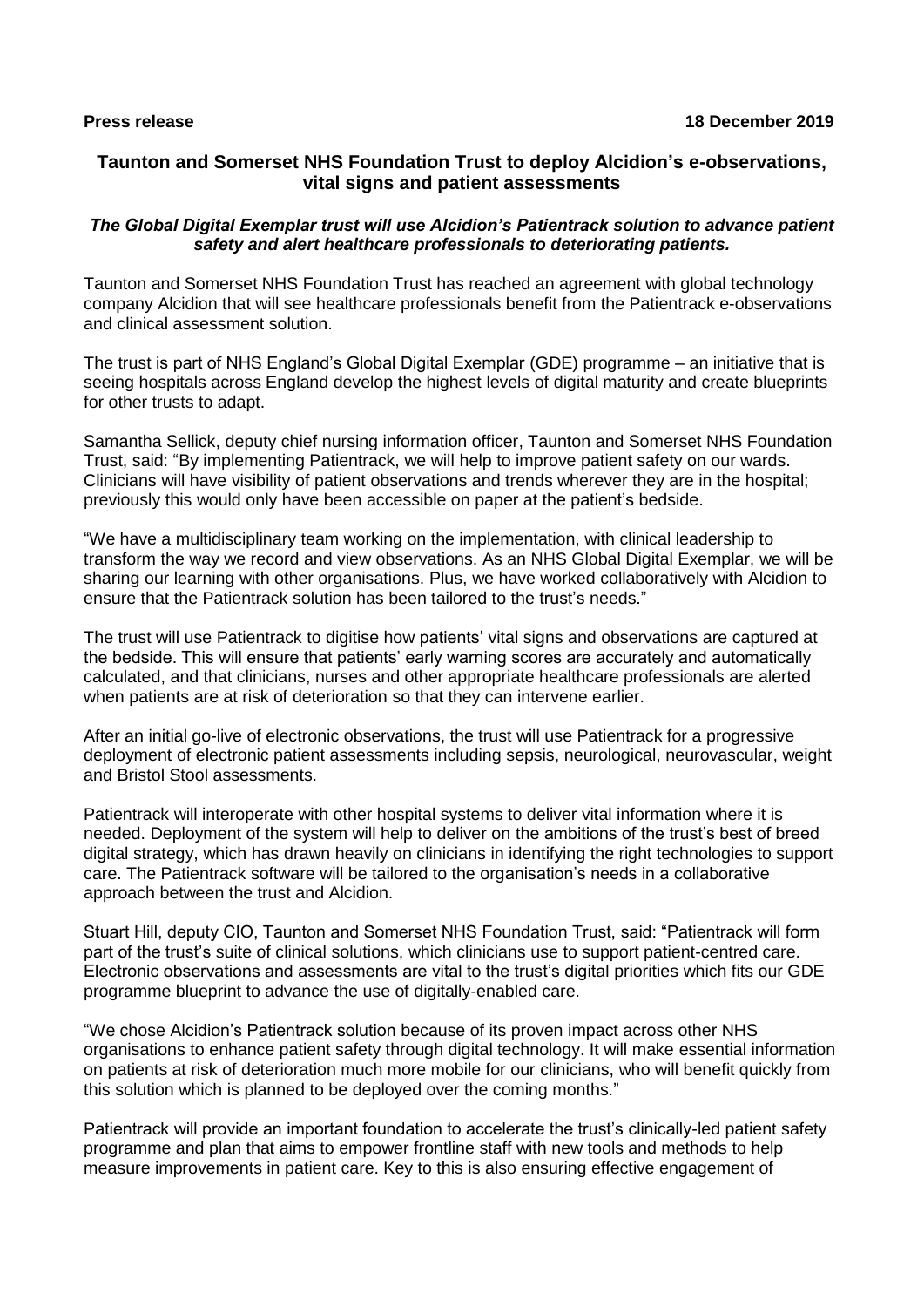# **Taunton and Somerset NHS Foundation Trust to deploy Alcidion's e-observations, vital signs and patient assessments**

### *The Global Digital Exemplar trust will use Alcidion's Patientrack solution to advance patient safety and alert healthcare professionals to deteriorating patients.*

Taunton and Somerset NHS Foundation Trust has reached an agreement with global technology company Alcidion that will see healthcare professionals benefit from the Patientrack e-observations and clinical assessment solution.

The trust is part of NHS England's Global Digital Exemplar (GDE) programme – an initiative that is seeing hospitals across England develop the highest levels of digital maturity and create blueprints for other trusts to adapt.

Samantha Sellick, deputy chief nursing information officer, Taunton and Somerset NHS Foundation Trust, said: "By implementing Patientrack, we will help to improve patient safety on our wards. Clinicians will have visibility of patient observations and trends wherever they are in the hospital; previously this would only have been accessible on paper at the patient's bedside.

"We have a multidisciplinary team working on the implementation, with clinical leadership to transform the way we record and view observations. As an NHS Global Digital Exemplar, we will be sharing our learning with other organisations. Plus, we have worked collaboratively with Alcidion to ensure that the Patientrack solution has been tailored to the trust's needs."

The trust will use Patientrack to digitise how patients' vital signs and observations are captured at the bedside. This will ensure that patients' early warning scores are accurately and automatically calculated, and that clinicians, nurses and other appropriate healthcare professionals are alerted when patients are at risk of deterioration so that they can intervene earlier.

After an initial go-live of electronic observations, the trust will use Patientrack for a progressive deployment of electronic patient assessments including sepsis, neurological, neurovascular, weight and Bristol Stool assessments.

Patientrack will interoperate with other hospital systems to deliver vital information where it is needed. Deployment of the system will help to deliver on the ambitions of the trust's best of breed digital strategy, which has drawn heavily on clinicians in identifying the right technologies to support care. The Patientrack software will be tailored to the organisation's needs in a collaborative approach between the trust and Alcidion.

Stuart Hill, deputy CIO, Taunton and Somerset NHS Foundation Trust, said: "Patientrack will form part of the trust's suite of clinical solutions, which clinicians use to support patient-centred care. Electronic observations and assessments are vital to the trust's digital priorities which fits our GDE programme blueprint to advance the use of digitally-enabled care.

"We chose Alcidion's Patientrack solution because of its proven impact across other NHS organisations to enhance patient safety through digital technology. It will make essential information on patients at risk of deterioration much more mobile for our clinicians, who will benefit quickly from this solution which is planned to be deployed over the coming months."

Patientrack will provide an important foundation to accelerate the trust's clinically-led patient safety programme and plan that aims to empower frontline staff with new tools and methods to help measure improvements in patient care. Key to this is also ensuring effective engagement of